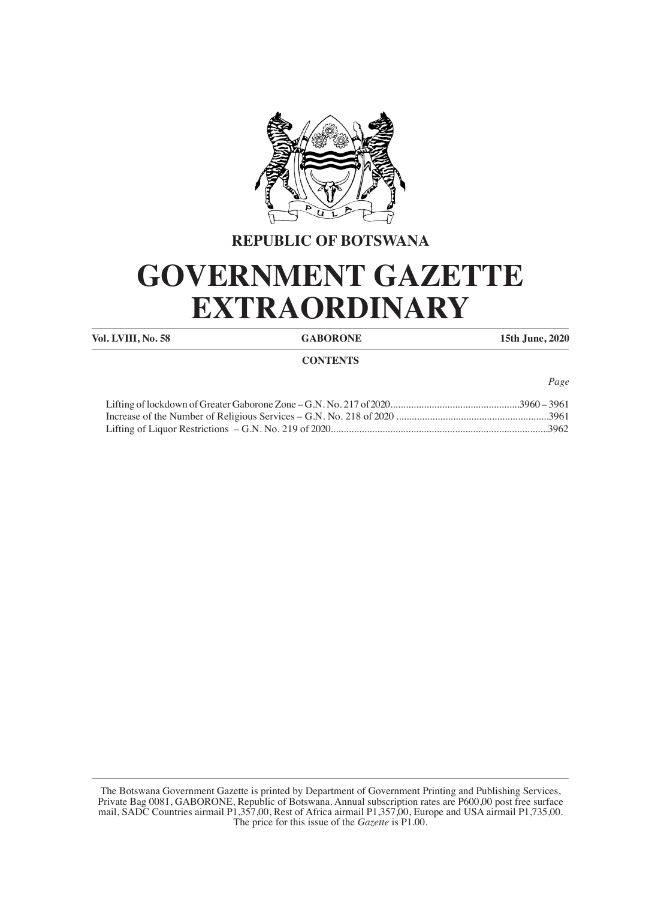

## **REPUBLIC OF BOTSWANA**

# **GOVERNMENT GAZETTE EXTRAORDINARY**

**Vol. LVIII, No. 58 GABORONE 15th June, 2020**

### **CONTENTS**

*Page*

The Botswana Government Gazette is printed by Department of Government Printing and Publishing Services, Private Bag 0081, GABORONE, Republic of Botswana. Annual subscription rates are P600,00 post free surface mail, SADC Countries airmail P1,357,00, Rest of Africa airmail P1,357,00, Europe and USA airmail P1,735,00. The price for this issue of the *Gazette* is P1.00.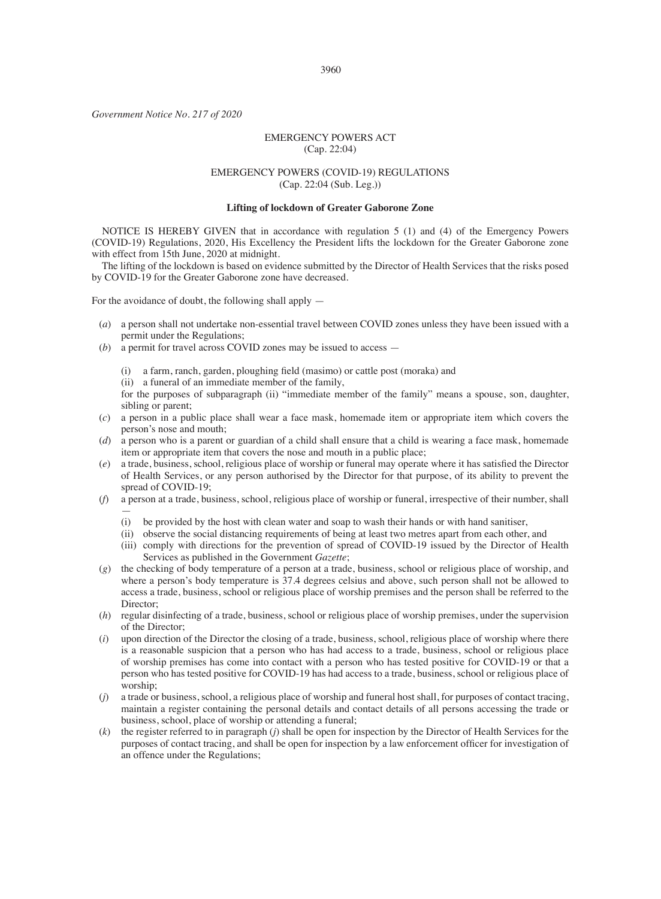3960

*Government Notice No. 217 of 2020*

#### EMERGENCY POWERS ACT (Cap. 22:04)

#### EMERGENCY POWERS (COVID-19) REGULATIONS (Cap. 22:04 (Sub. Leg.))

#### **Lifting of lockdown of Greater Gaborone Zone**

NOTICE IS HEREBY GIVEN that in accordance with regulation 5 (1) and (4) of the Emergency Powers (COVID-19) Regulations, 2020, His Excellency the President lifts the lockdown for the Greater Gaborone zone with effect from 15th June, 2020 at midnight.

The lifting of the lockdown is based on evidence submitted by the Director of Health Services that the risks posed by COVID-19 for the Greater Gaborone zone have decreased.

For the avoidance of doubt, the following shall apply —

- (*a*) a person shall not undertake non-essential travel between COVID zones unless they have been issued with a permit under the Regulations;
- (*b*) a permit for travel across COVID zones may be issued to access
	- (i) a farm, ranch, garden, ploughing field (masimo) or cattle post (moraka) and
	- (ii) a funeral of an immediate member of the family,

for the purposes of subparagraph (ii) "immediate member of the family" means a spouse, son, daughter, sibling or parent;

- (*c*) a person in a public place shall wear a face mask, homemade item or appropriate item which covers the person's nose and mouth;
- (*d*) a person who is a parent or guardian of a child shall ensure that a child is wearing a face mask, homemade item or appropriate item that covers the nose and mouth in a public place;
- (*e*) a trade, business, school, religious place of worship or funeral may operate where it has satisfied the Director of Health Services, or any person authorised by the Director for that purpose, of its ability to prevent the spread of COVID-19;
- (*f*) a person at a trade, business, school, religious place of worship or funeral, irrespective of their number, shall —
	- (i) be provided by the host with clean water and soap to wash their hands or with hand sanitiser,
	- (ii) observe the social distancing requirements of being at least two metres apart from each other, and
	- (iii) comply with directions for the prevention of spread of COVID-19 issued by the Director of Health Services as published in the Government *Gazette*;
- (*g*) the checking of body temperature of a person at a trade, business, school or religious place of worship, and where a person's body temperature is 37.4 degrees celsius and above, such person shall not be allowed to access a trade, business, school or religious place of worship premises and the person shall be referred to the Director:
- (*h*) regular disinfecting of a trade, business, school or religious place of worship premises, under the supervision of the Director;
- (*i*) upon direction of the Director the closing of a trade, business, school, religious place of worship where there is a reasonable suspicion that a person who has had access to a trade, business, school or religious place of worship premises has come into contact with a person who has tested positive for COVID-19 or that a person who has tested positive for COVID-19 has had access to a trade, business, school or religious place of worship;
- (*j*) a trade or business, school, a religious place of worship and funeral host shall, for purposes of contact tracing, maintain a register containing the personal details and contact details of all persons accessing the trade or business, school, place of worship or attending a funeral;
- (*k*) the register referred to in paragraph (*j*) shall be open for inspection by the Director of Health Services for the purposes of contact tracing, and shall be open for inspection by a law enforcement officer for investigation of an offence under the Regulations;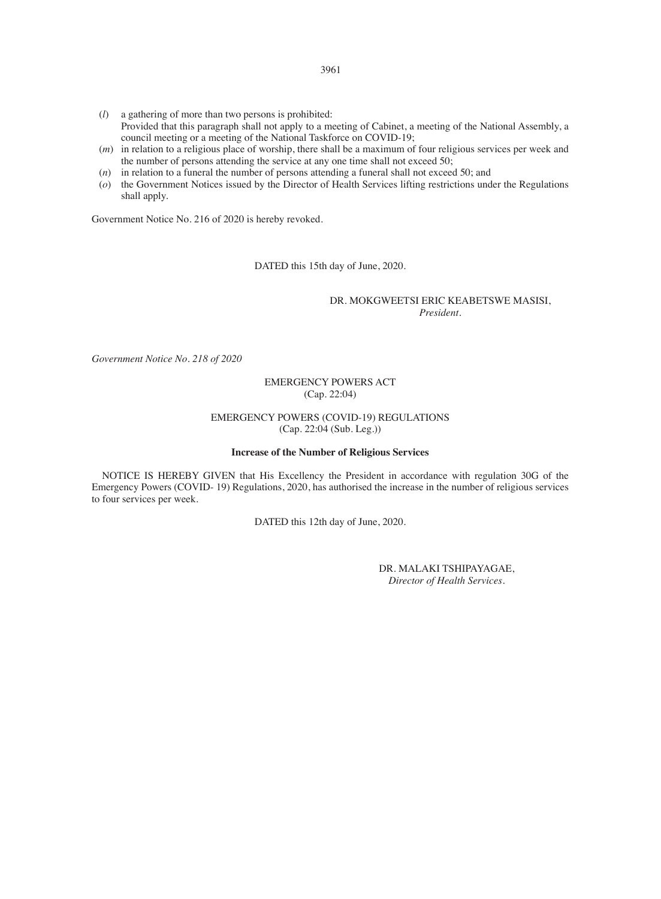- (*l*) a gathering of more than two persons is prohibited: Provided that this paragraph shall not apply to a meeting of Cabinet, a meeting of the National Assembly, a council meeting or a meeting of the National Taskforce on COVID-19;
- (*m*) in relation to a religious place of worship, there shall be a maximum of four religious services per week and the number of persons attending the service at any one time shall not exceed 50;
- (*n*) in relation to a funeral the number of persons attending a funeral shall not exceed 50; and
- (*o*) the Government Notices issued by the Director of Health Services lifting restrictions under the Regulations shall apply.

Government Notice No. 216 of 2020 is hereby revoked.

DATED this 15th day of June, 2020.

#### DR. MOKGWEETSI ERIC KEABETSWE MASISI, *President.*

*Government Notice No. 218 of 2020*

#### EMERGENCY POWERS ACT (Cap. 22:04)

#### EMERGENCY POWERS (COVID-19) REGULATIONS (Cap. 22:04 (Sub. Leg.))

#### **Increase of the Number of Religious Services**

NOTICE IS HEREBY GIVEN that His Excellency the President in accordance with regulation 30G of the Emergency Powers (COVID- 19) Regulations, 2020, has authorised the increase in the number of religious services to four services per week.

DATED this 12th day of June, 2020.

DR. MALAKI TSHIPAYAGAE, *Director of Health Services*.